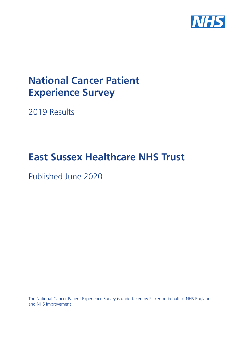

# **National Cancer Patient Experience Survey**

2019 Results

# **East Sussex Healthcare NHS Trust**

Published June 2020

The National Cancer Patient Experience Survey is undertaken by Picker on behalf of NHS England and NHS Improvement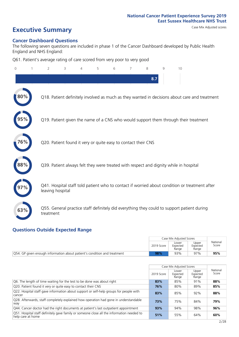# **Executive Summary** Case Mix Adjusted scores

### **Cancer Dashboard Questions**

The following seven questions are included in phase 1 of the Cancer Dashboard developed by Public Health England and NHS England:

Q61. Patient's average rating of care scored from very poor to very good

| $\Omega$ | $\overline{2}$                                                | 3 | 4 | 5 | 6 | 7 | 8   | 9 | 10                                                                                            |  |
|----------|---------------------------------------------------------------|---|---|---|---|---|-----|---|-----------------------------------------------------------------------------------------------|--|
|          |                                                               |   |   |   |   |   | 8.7 |   |                                                                                               |  |
| 80%      |                                                               |   |   |   |   |   |     |   | Q18. Patient definitely involved as much as they wanted in decisions about care and treatment |  |
|          |                                                               |   |   |   |   |   |     |   | Q19. Patient given the name of a CNS who would support them through their treatment           |  |
| 76%      | Q20. Patient found it very or quite easy to contact their CNS |   |   |   |   |   |     |   |                                                                                               |  |
| 88%      |                                                               |   |   |   |   |   |     |   | Q39. Patient always felt they were treated with respect and dignity while in hospital         |  |
|          | leaving hospital                                              |   |   |   |   |   |     |   | Q41. Hospital staff told patient who to contact if worried about condition or treatment after |  |
| 63%      | treatment                                                     |   |   |   |   |   |     |   | Q55. General practice staff definitely did everything they could to support patient during    |  |

### **Questions Outside Expected Range**

|                                                                          |            | Case Mix Adjusted Scores   |                            |                   |
|--------------------------------------------------------------------------|------------|----------------------------|----------------------------|-------------------|
|                                                                          | 2019 Score | Lower<br>Expected<br>Range | Upper<br>Expected<br>Range | National<br>Score |
| Q54. GP given enough information about patient's condition and treatment | 98%        | 93%                        | 97%                        | 95%               |

|                                                                                                                |            | Case Mix Adjusted Scores   |                            |                   |
|----------------------------------------------------------------------------------------------------------------|------------|----------------------------|----------------------------|-------------------|
|                                                                                                                | 2019 Score | Lower<br>Expected<br>Range | Upper<br>Expected<br>Range | National<br>Score |
| Q6. The length of time waiting for the test to be done was about right                                         | 83%        | 85%                        | 91%                        | 88%               |
| Q20. Patient found it very or quite easy to contact their CNS                                                  | 76%        | 80%                        | 89%                        | 85%               |
| Q22. Hospital staff gave information about support or self-help groups for people with<br>cancer               | 83%        | 85%                        | 92%                        | 88%               |
| Q28. Afterwards, staff completely explained how operation had gone in understandable<br>way                    | 73%        | 75%                        | 84%                        | 79%               |
| Q44. Cancer doctor had the right documents at patient's last outpatient appointment                            | 93%        | 94%                        | 98%                        | 96%               |
| Q51. Hospital staff definitely gave family or someone close all the information needed to<br>help care at home | 51%        | 55%                        | 64%                        | 60%               |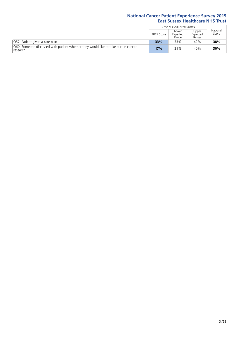|                                                                                                |            | Case Mix Adjusted Scores   |                            |                   |
|------------------------------------------------------------------------------------------------|------------|----------------------------|----------------------------|-------------------|
|                                                                                                | 2019 Score | Lower<br>Expected<br>Range | Upper<br>Expected<br>Range | National<br>Score |
| Q57. Patient given a care plan                                                                 | 33%        | 33%                        | 42%                        | 38%               |
| 060. Someone discussed with patient whether they would like to take part in cancer<br>research | 17%        | 21%                        | 40%                        | 30%               |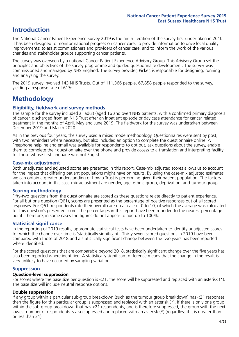### **Introduction**

The National Cancer Patient Experience Survey 2019 is the ninth iteration of the survey first undertaken in 2010. It has been designed to monitor national progress on cancer care; to provide information to drive local quality improvements; to assist commissioners and providers of cancer care; and to inform the work of the various charities and stakeholder groups supporting cancer patients.

The survey was overseen by a national Cancer Patient Experience Advisory Group. This Advisory Group set the principles and objectives of the survey programme and guided questionnaire development. The survey was commissioned and managed by NHS England. The survey provider, Picker, is responsible for designing, running and analysing the survey.

The 2019 survey involved 143 NHS Trusts. Out of 111,366 people, 67,858 people responded to the survey, yielding a response rate of 61%.

### **Methodology**

### **Eligibility, fieldwork and survey methods**

The sample for the survey included all adult (aged 16 and over) NHS patients, with a confirmed primary diagnosis of cancer, discharged from an NHS Trust after an inpatient episode or day case attendance for cancer related treatment in the months of April, May and June 2019. The fieldwork for the survey was undertaken between December 2019 and March 2020.

As in the previous four years, the survey used a mixed mode methodology. Questionnaires were sent by post, with two reminders where necessary, but also included an option to complete the questionnaire online. A Freephone helpline and email was available for respondents to opt out, ask questions about the survey, enable them to complete their questionnaire over the phone and provide access to a translation and interpreting facility for those whose first language was not English.

### **Case-mix adjustment**

Both unadjusted and adjusted scores are presented in this report. Case-mix adjusted scores allows us to account for the impact that differing patient populations might have on results. By using the case-mix adjusted estimates we can obtain a greater understanding of how a Trust is performing given their patient population. The factors taken into account in this case-mix adjustment are gender, age, ethnic group, deprivation, and tumour group.

### **Scoring methodology**

Fifty-two questions from the questionnaire are scored as these questions relate directly to patient experience. For all but one question (Q61), scores are presented as the percentage of positive responses out of all scored responses. For Q61, respondents rate their overall care on a scale of 0 to 10, of which the average was calculated for this question's presented score. The percentages in this report have been rounded to the nearest percentage point. Therefore, in some cases the figures do not appear to add up to 100%.

### **Statistical significance**

In the reporting of 2019 results, appropriate statistical tests have been undertaken to identify unadjusted scores for which the change over time is 'statistically significant'. Thirty-seven scored questions in 2019 have been compared with those of 2018 and a statistically significant change between the two years has been reported where identified.

For the scored questions that are comparable beyond 2018, statistically significant change over the five years has also been reported where identified. A statistically significant difference means that the change in the result is very unlikely to have occurred by sampling variation.

### **Suppression**

### **Question-level suppression**

For scores where the base size per question is  $<$ 21, the score will be suppressed and replaced with an asterisk (\*). The base size will include neutral response options.

### **Double suppression**

If any group within a particular sub-group breakdown (such as the tumour group breakdown) has <21 responses, then the figure for this particular group is suppressed and replaced with an asterisk (\*). If there is only one group within the sub-group breakdown that has <21 respondents, and is therefore suppressed, the group with the next lowest number of respondents is also supressed and replaced with an asterisk (\*) (regardless if it is greater than or less than 21).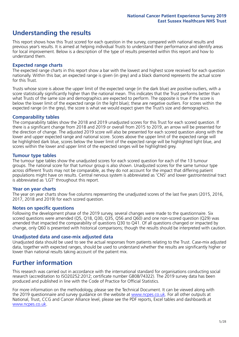### **Understanding the results**

This report shows how this Trust scored for each question in the survey, compared with national results and previous year's results. It is aimed at helping individual Trusts to understand their performance and identify areas for local improvement. Below is a description of the type of results presented within this report and how to understand them.

### **Expected range charts**

The expected range charts in this report show a bar with the lowest and highest score received for each question nationally. Within this bar, an expected range is given (in grey) and a black diamond represents the actual score for this Trust.

Trusts whose score is above the upper limit of the expected range (in the dark blue) are positive outliers, with a score statistically significantly higher than the national mean. This indicates that the Trust performs better than what Trusts of the same size and demographics are expected to perform. The opposite is true if the score is below the lower limit of the expected range (in the light blue); these are negative outliers. For scores within the expected range (in the grey), the score is what we would expect given the Trust's size and demographics.

### **Comparability tables**

The comparability tables show the 2018 and 2019 unadjusted scores for this Trust for each scored question. If there is a significant change from 2018 and 2019 or overall from 2015 to 2019, an arrow will be presented for the direction of change. The adjusted 2019 score will also be presented for each scored question along with the lower and upper expected range and national score. Scores above the upper limit of the expected range will be highlighted dark blue, scores below the lower limit of the expected range will be highlighted light blue, and scores within the lower and upper limit of the expected ranges will be highlighted grey.

### **Tumour type tables**

The tumour type tables show the unadjusted scores for each scored question for each of the 13 tumour groups. The national score for that tumour group is also shown. Unadjusted scores for the same tumour type across different Trusts may not be comparable, as they do not account for the impact that differing patient populations might have on results. Central nervous system is abbreviated as 'CNS' and lower gastrointestinal tract is abbreviated as 'LGT' throughout this report.

### **Year on year charts**

The year on year charts show five columns representing the unadjusted scores of the last five years (2015, 2016, 2017, 2018 and 2019) for each scored question.

### **Notes on specific questions**

Following the development phase of the 2019 survey, several changes were made to the questionnaire. Six scored questions were amended (Q5, Q18, Q30, Q35, Q56 and Q60) and one non-scored question (Q29) was amended that impacted the comparability of questions Q30 to Q41. Of all questions changed or impacted by change, only Q60 is presented with historical comparisons; though the results should be interpreted with caution.

### **Unadjusted data and case-mix adjusted data**

Unadjusted data should be used to see the actual responses from patients relating to the Trust. Case-mix adjusted data, together with expected ranges, should be used to understand whether the results are significantly higher or lower than national results taking account of the patient mix.

### **Further information**

This research was carried out in accordance with the international standard for organisations conducting social research (accreditation to ISO20252:2012; certificate number GB08/74322). The 2019 survey data has been produced and published in line with the Code of Practice for Official Statistics.

For more information on the methodology, please see the Technical Document. It can be viewed along with the 2019 questionnaire and survey quidance on the website at [www.ncpes.co.uk](https://www.ncpes.co.uk/supporting-documents). For all other outputs at National, Trust, CCG and Cancer Alliance level, please see the PDF reports, Excel tables and dashboards at [www.ncpes.co.uk.](https://www.ncpes.co.uk/current-results)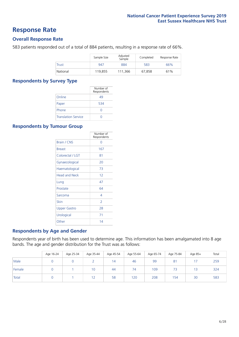### **Response Rate**

### **Overall Response Rate**

583 patients responded out of a total of 884 patients, resulting in a response rate of 66%.

|              | Sample Size | Adjusted<br>Sample | Completed | Response Rate |
|--------------|-------------|--------------------|-----------|---------------|
| <b>Trust</b> | 947         | 884                | 583       | 66%           |
| National     | 119,855     | 111.366            | 67.858    | 61%           |

### **Respondents by Survey Type**

|                            | Number of<br>Respondents |
|----------------------------|--------------------------|
| Online                     | 49                       |
| Paper                      | 534                      |
| Phone                      |                          |
| <b>Translation Service</b> |                          |

### **Respondents by Tumour Group**

|                      | Number of<br>Respondents |
|----------------------|--------------------------|
| <b>Brain / CNS</b>   | ∩                        |
| <b>Breast</b>        | 167                      |
| Colorectal / LGT     | 81                       |
| Gynaecological       | 20                       |
| Haematological       | 73                       |
| <b>Head and Neck</b> | 12                       |
| Lung                 | 47                       |
| Prostate             | 64                       |
| Sarcoma              | 4                        |
| Skin                 | $\overline{2}$           |
| <b>Upper Gastro</b>  | 28                       |
| Urological           | 71                       |
| Other                | 14                       |

### **Respondents by Age and Gender**

Respondents year of birth has been used to determine age. This information has been amalgamated into 8 age bands. The age and gender distribution for the Trust was as follows:

|        | Age 16-24 | Age 25-34 | Age 35-44 | Age 45-54 | Age 55-64 | Age 65-74 | Age 75-84                | Age 85+ | Total |
|--------|-----------|-----------|-----------|-----------|-----------|-----------|--------------------------|---------|-------|
| Male   |           |           |           | 14        | 46        | 99        | $8^{\circ}$              | 17      | 259   |
| Female |           |           | 10        | 44        | 74        | 109       | $\overline{\phantom{a}}$ | 13      | 324   |
| Total  |           |           | 12        | 58        | 120       | 208       | 154                      | 30      | 583   |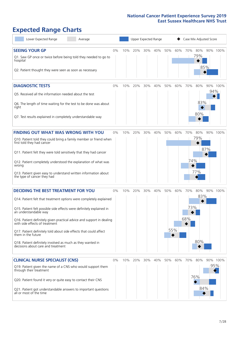# **Expected Range Charts**

| Lower Expected Range<br>Average                                                                                                                                                                                                                                                                                                                                                                                                                                                                                             |    |     | Upper Expected Range |     |     |     |            | Case Mix Adjusted Score |                   |     |          |
|-----------------------------------------------------------------------------------------------------------------------------------------------------------------------------------------------------------------------------------------------------------------------------------------------------------------------------------------------------------------------------------------------------------------------------------------------------------------------------------------------------------------------------|----|-----|----------------------|-----|-----|-----|------------|-------------------------|-------------------|-----|----------|
| <b>SEEING YOUR GP</b><br>Q1. Saw GP once or twice before being told they needed to go to<br>hospital<br>Q2. Patient thought they were seen as soon as necessary                                                                                                                                                                                                                                                                                                                                                             | 0% | 10% | 20%                  | 30% | 40% | 50% | 60%        | 70%                     | 80%<br>79%        | 85% | 90% 100% |
| <b>DIAGNOSTIC TESTS</b><br>Q5. Received all the information needed about the test<br>Q6. The length of time waiting for the test to be done was about<br>right<br>Q7. Test results explained in completely understandable way                                                                                                                                                                                                                                                                                               | 0% | 10% | 20%                  | 30% | 40% | 50% | 60%        | 70%                     | 80%<br>83%<br>80% | 94% | 90% 100% |
| <b>FINDING OUT WHAT WAS WRONG WITH YOU</b><br>Q10. Patient told they could bring a family member or friend when<br>first told they had cancer<br>Q11. Patient felt they were told sensitively that they had cancer<br>Q12. Patient completely understood the explanation of what was<br>wrong<br>Q13. Patient given easy to understand written information about<br>the type of cancer they had                                                                                                                             | 0% | 10% | 20%                  | 30% | 40% | 50% | 60%        | 70%<br>74%              | 80%<br>79%<br>77% | 87% | 90% 100% |
| <b>DECIDING THE BEST TREATMENT FOR YOU</b><br>Q14. Patient felt that treatment options were completely explained<br>Q15. Patient felt possible side effects were definitely explained in<br>an understandable way<br>Q16. Patient definitely given practical advice and support in dealing<br>with side effects of treatment<br>Q17. Patient definitely told about side effects that could affect<br>them in the future<br>Q18. Patient definitely involved as much as they wanted in<br>decisions about care and treatment | 0% | 10% | 20%                  | 30% | 40% | 50% | 60%<br>55% | 70%<br>73%<br>68%       | 80%<br>83%<br>80% |     | 90% 100% |
| <b>CLINICAL NURSE SPECIALIST (CNS)</b><br>Q19. Patient given the name of a CNS who would support them<br>through their treatment<br>Q20. Patient found it very or quite easy to contact their CNS<br>Q21. Patient got understandable answers to important questions<br>all or most of the time                                                                                                                                                                                                                              | 0% | 10% | 20%                  | 30% | 40% | 50% | 60%        | 70%                     | 80%<br>76%<br>84% | 95% | 90% 100% |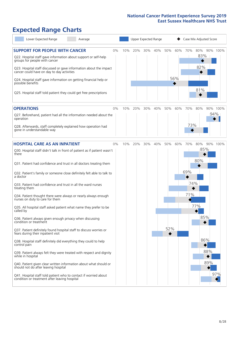# **Expected Range Charts**

| Lower Expected Range<br>Average                                                                                                           |    | Upper Expected Range |     |     |     |     |     |     | Case Mix Adjusted Score |          |
|-------------------------------------------------------------------------------------------------------------------------------------------|----|----------------------|-----|-----|-----|-----|-----|-----|-------------------------|----------|
| <b>SUPPORT FOR PEOPLE WITH CANCER</b><br>Q22. Hospital staff gave information about support or self-help<br>groups for people with cancer | 0% | 10%                  | 20% | 30% | 40% | 50% | 60% | 70% | 80%<br>83%<br>82%       | 90% 100% |
| Q23. Hospital staff discussed or gave information about the impact<br>cancer could have on day to day activities                          |    |                      |     |     |     |     | 56% |     |                         |          |
| Q24. Hospital staff gave information on getting financial help or<br>possible benefits                                                    |    |                      |     |     |     |     |     |     | 81%                     |          |
| Q25. Hospital staff told patient they could get free prescriptions                                                                        |    |                      |     |     |     |     |     |     |                         |          |
| <b>OPERATIONS</b>                                                                                                                         | 0% | 10%                  | 20% | 30% | 40% | 50% | 60% | 70% | 80%                     | 90% 100% |
| Q27. Beforehand, patient had all the information needed about the<br>operation                                                            |    |                      |     |     |     |     |     |     |                         | 94%      |
| Q28. Afterwards, staff completely explained how operation had<br>gone in understandable way                                               |    |                      |     |     |     |     |     | 73% |                         |          |
| <b>HOSPITAL CARE AS AN INPATIENT</b>                                                                                                      | 0% | 10%                  | 20% | 30% | 40% | 50% | 60% | 70% | 80%                     | 90% 100% |
| Q30. Hospital staff didn't talk in front of patient as if patient wasn't<br>there                                                         |    |                      |     |     |     |     |     |     | 85%<br>80%              |          |
| Q31. Patient had confidence and trust in all doctors treating them                                                                        |    |                      |     |     |     |     |     |     |                         |          |
| Q32. Patient's family or someone close definitely felt able to talk to<br>a doctor                                                        |    |                      |     |     |     |     |     | 69% |                         |          |
| Q33. Patient had confidence and trust in all the ward nurses<br>treating them                                                             |    |                      |     |     |     |     |     | 74% |                         |          |
| Q34. Patient thought there were always or nearly always enough<br>nurses on duty to care for them                                         |    |                      |     |     |     |     |     | 71% |                         |          |
| Q35. All hospital staff asked patient what name they prefer to be<br>called by                                                            |    |                      |     |     |     |     |     |     | 77%                     |          |
| Q36. Patient always given enough privacy when discussing<br>condition or treatment                                                        |    |                      |     |     |     |     |     |     | 85%                     |          |
| Q37. Patient definitely found hospital staff to discuss worries or<br>fears during their inpatient visit                                  |    |                      |     |     |     | 52% |     |     |                         |          |
| Q38. Hospital staff definitely did everything they could to help<br>control pain                                                          |    |                      |     |     |     |     |     |     | 86%                     |          |
| Q39. Patient always felt they were treated with respect and dignity<br>while in hospital                                                  |    |                      |     |     |     |     |     |     | 88%                     |          |
| Q40. Patient given clear written information about what should or<br>should not do after leaving hospital                                 |    |                      |     |     |     |     |     |     | 89%                     |          |
| Q41. Hospital staff told patient who to contact if worried about<br>condition or treatment after leaving hospital                         |    |                      |     |     |     |     |     |     |                         | 97%      |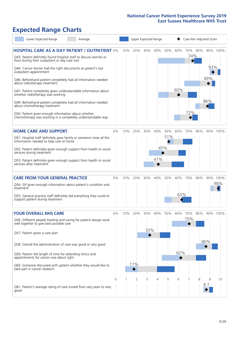# **Expected Range Charts**

| Lower Expected Range<br>Average                                                                                                                                                |       |     | Upper Expected Range |     |     |     |     | Case Mix Adjusted Score |                |            |          |  |  |
|--------------------------------------------------------------------------------------------------------------------------------------------------------------------------------|-------|-----|----------------------|-----|-----|-----|-----|-------------------------|----------------|------------|----------|--|--|
| <b>HOSPITAL CARE AS A DAY PATIENT / OUTPATIENT 0%</b><br>Q43. Patient definitely found hospital staff to discuss worries or<br>fears during their outpatient or day case visit |       | 10% | 20%                  | 30% | 40% | 50% | 60% |                         | 70% 80%<br>74% |            | 90% 100% |  |  |
| Q44. Cancer doctor had the right documents at patient's last<br>outpatient appointment<br>Q46. Beforehand patient completely had all information needed                        |       |     |                      |     |     |     |     |                         |                | 93%<br>89% |          |  |  |
| about radiotherapy treatment<br>Q47. Patient completely given understandable information about<br>whether radiotherapy was working                                             |       |     |                      |     |     |     | 60% |                         |                |            |          |  |  |
| Q49. Beforehand patient completely had all information needed<br>about chemotherapy treatment                                                                                  |       |     |                      |     |     |     |     |                         |                | 88%        |          |  |  |
| Q50. Patient given enough information about whether<br>chemotherapy was working in a completely understandable way                                                             |       |     |                      |     |     |     |     | 72%                     |                |            |          |  |  |
| <b>HOME CARE AND SUPPORT</b>                                                                                                                                                   | 0%    | 10% | 20%                  | 30% | 40% | 50% | 60% | 70%                     | 80%            |            | 90% 100% |  |  |
| Q51. Hospital staff definitely gave family or someone close all the<br>information needed to help care at home                                                                 |       |     |                      |     |     | 51% |     |                         |                |            |          |  |  |
| Q52. Patient definitely given enough support from health or social<br>services during treatment                                                                                |       |     |                      |     | 45% |     |     |                         |                |            |          |  |  |
| Q53. Patient definitely given enough support from health or social<br>services after treatment                                                                                 |       |     |                      |     | 41% |     |     |                         |                |            |          |  |  |
| <b>CARE FROM YOUR GENERAL PRACTICE</b>                                                                                                                                         | 0%    | 10% | 20%                  | 30% | 40% | 50% | 60% | 70%                     | 80%            |            | 90% 100% |  |  |
| Q54. GP given enough information about patient's condition and<br>treatment                                                                                                    |       |     |                      |     |     |     |     |                         |                |            | 98%      |  |  |
| Q55. General practice staff definitely did everything they could to<br>support patient during treatment                                                                        |       |     |                      |     |     |     | 63% |                         |                |            |          |  |  |
| <b>YOUR OVERALL NHS CARE</b>                                                                                                                                                   | $0\%$ | 10% | 20%                  | 30% | 40% | 50% | 60% | 70%                     | 80%            |            | 90% 100% |  |  |
| Q56. Different people treating and caring for patient always work<br>well together to give best possible care                                                                  |       |     |                      |     |     |     |     | 70%                     |                |            |          |  |  |
| Q57. Patient given a care plan                                                                                                                                                 |       |     |                      | 33% |     |     |     |                         |                |            |          |  |  |
| Q58. Overall the administration of care was good or very good                                                                                                                  |       |     |                      |     |     |     |     |                         |                | 86%        |          |  |  |
| Q59. Patient felt length of time for attending clinics and<br>appointments for cancer was about right                                                                          |       |     |                      |     |     |     | 62% |                         |                |            |          |  |  |
| Q60. Someone discussed with patient whether they would like to<br>take part in cancer research                                                                                 |       |     | 17%                  |     |     |     |     |                         |                |            |          |  |  |
|                                                                                                                                                                                | 0     |     | 2                    | 3   | 4   | 5   | 6   |                         | 8              | 9<br>8.7   | 10       |  |  |
| Q61. Patient's average rating of care scored from very poor to very<br>good                                                                                                    |       |     |                      |     |     |     |     |                         |                |            |          |  |  |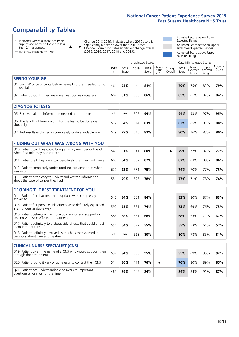# **Comparability Tables**

\* Indicates where a score has been suppressed because there are less than 21 responses.

\*\* No score available for 2018.

 $\triangle$  or  $\nabla$ 

Change 2018-2019: Indicates where 2019 score is significantly higher or lower than 2018 score Change Overall: Indicates significant change overall (2015, 2016, 2017, 2018 and 2019).

Adjusted Score below Lower Expected Range Adjusted Score between Upper and Lower Expected Ranges Adjusted Score above Upper Expected Range

|                                                                             | Unadjusted Scores |               |           |               |                                                    |         |               | Case Mix Adjusted Scores |                                     |                   |  |
|-----------------------------------------------------------------------------|-------------------|---------------|-----------|---------------|----------------------------------------------------|---------|---------------|--------------------------|-------------------------------------|-------------------|--|
|                                                                             | 2018<br>n         | 2018<br>Score | 2019<br>n | 2019<br>Score | $\sqrt{(\text{Change})^2}$ Change<br>2018-<br>2019 | Overall | 2019<br>Score | Lower<br>Range           | Upper<br>Expected Expected<br>Range | National<br>Score |  |
| <b>SEEING YOUR GP</b>                                                       |                   |               |           |               |                                                    |         |               |                          |                                     |                   |  |
| Q1. Saw GP once or twice before being told they needed to go<br>to hospital | 461               | 75%           | 444       | 81%           |                                                    |         | 79%           | 75%                      | 83%                                 | 79%               |  |
| Q2. Patient thought they were seen as soon as necessary                     | 607               | 81%           | 560       | 86%           |                                                    |         | 85%           | 81%                      | 87%                                 | 84%               |  |
| DIAGNOSTIC TESTS                                                            |                   |               |           |               |                                                    |         |               |                          |                                     |                   |  |

| <b>PIAGNOSTIC ILSTS</b>                                                   |      |     |     |     |  |     |     |     |     |
|---------------------------------------------------------------------------|------|-----|-----|-----|--|-----|-----|-----|-----|
| Q5. Received all the information needed about the test                    | $**$ | **  | 505 | 94% |  | 94% | 93% | 97% | 95% |
| Q6. The length of time waiting for the test to be done was<br>about right | 532  | 84% | 514 | 83% |  | 83% | 85% | 91% | 88% |
| Q7. Test results explained in completely understandable way               | 529  | 79% | 516 | 81% |  | 80% | 76% | 83% | 80% |

| <b>FINDING OUT WHAT WAS WRONG WITH YOU</b>                                                      |     |     |     |     |  |     |     |     |     |
|-------------------------------------------------------------------------------------------------|-----|-----|-----|-----|--|-----|-----|-----|-----|
| Q10. Patient told they could bring a family member or friend<br>when first told they had cancer | 549 | 81% | 541 | 80% |  | 79% | 72% | 82% | 77% |
| Q11. Patient felt they were told sensitively that they had cancer                               | 608 | 84% | 582 | 87% |  | 87% | 83% | 89% | 86% |
| Q12. Patient completely understood the explanation of what<br>was wrong                         | 620 | 73% | 581 | 75% |  | 74% | 70% | 77% | 73% |
| Q13. Patient given easy to understand written information<br>about the type of cancer they had  | 551 | 79% | 525 | 78% |  | 77% | 71% | 78% | 74% |

| <b>DECIDING THE BEST TREATMENT FOR YOU</b>                                                              |      |     |     |     |  |     |     |     |     |
|---------------------------------------------------------------------------------------------------------|------|-----|-----|-----|--|-----|-----|-----|-----|
| Q14. Patient felt that treatment options were completely<br>explained                                   | 540  | 84% | 501 | 84% |  | 83% | 80% | 87% | 83% |
| Q15. Patient felt possible side effects were definitely explained<br>in an understandable way           | 592  | 75% | 551 | 74% |  | 73% | 69% | 76% | 73% |
| Q16. Patient definitely given practical advice and support in<br>dealing with side effects of treatment | 585  | 68% | 551 | 68% |  | 68% | 63% | 71% | 67% |
| Q17. Patient definitely told about side effects that could affect<br>them in the future                 | 554  | 54% | 522 | 55% |  | 55% | 53% | 61% | 57% |
| Q18. Patient definitely involved as much as they wanted in<br>decisions about care and treatment        | $**$ | **  | 568 | 80% |  | 80% | 78% | 85% | 81% |

| <b>CLINICAL NURSE SPECIALIST (CNS)</b>                                                    |     |     |     |     |  |     |     |     |     |
|-------------------------------------------------------------------------------------------|-----|-----|-----|-----|--|-----|-----|-----|-----|
| Q19. Patient given the name of a CNS who would support them<br>through their treatment    | 597 | 94% | 560 | 95% |  | 95% | 89% | 95% | 92% |
| Q20. Patient found it very or quite easy to contact their CNS                             | 514 | 86% | 471 | 76% |  | 76% | 80% | 89% | 85% |
| Q21. Patient got understandable answers to important<br>questions all or most of the time | 469 | 89% | 442 | 84% |  | 84% | 84% | 91% | 87% |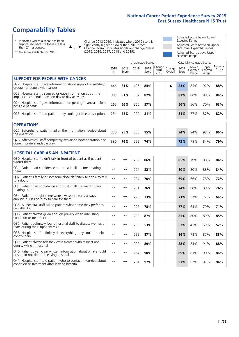# **Comparability Tables**

\* Indicates where a score has been suppressed because there are less than 21 responses.

\*\* No score available for 2018.

 $\triangle$  or  $\nabla$ 

Change 2018-2019: Indicates where 2019 score is significantly higher or lower than 2018 score Change Overall: Indicates significant change overall (2015, 2016, 2017, 2018 and 2019).

Adjusted Score below Lower Expected Range Adjusted Score between Upper and Lower Expected Ranges Adjusted Score above Upper Expected Range

|                                                                                                                   |           |               | <b>Unadjusted Scores</b> |               |                            |                   |               | Case Mix Adjusted Scores |                                     |                   |
|-------------------------------------------------------------------------------------------------------------------|-----------|---------------|--------------------------|---------------|----------------------------|-------------------|---------------|--------------------------|-------------------------------------|-------------------|
|                                                                                                                   | 2018<br>n | 2018<br>Score | 2019<br>$\mathsf{n}$     | 2019<br>Score | Change<br>$2018 -$<br>2019 | Change<br>Overall | 2019<br>Score | Lower<br>Range           | Upper<br>Expected Expected<br>Range | National<br>Score |
| <b>SUPPORT FOR PEOPLE WITH CANCER</b>                                                                             |           |               |                          |               |                            |                   |               |                          |                                     |                   |
| Q22. Hospital staff gave information about support or self-help<br>groups for people with cancer                  | 446       | 81%           | 426                      | 84%           |                            | ▲                 | 83%           | 85%                      | 92%                                 | 88%               |
| Q23. Hospital staff discussed or gave information about the<br>impact cancer could have on day to day activities  | 383       | 81%           | 367                      | 82%           |                            |                   | 82%           | 80%                      | 88%                                 | 84%               |
| Q24. Hospital staff gave information on getting financial help or<br>possible benefits                            | 265       | 56%           | 260                      | 57%           |                            |                   | 56%           | 56%                      | 70%                                 | 63%               |
| Q25. Hospital staff told patient they could get free prescriptions                                                | 254       | 78%           | 220                      | 81%           |                            |                   | 81%           | 77%                      | 87%                                 | 82%               |
| <b>OPERATIONS</b>                                                                                                 |           |               |                          |               |                            |                   |               |                          |                                     |                   |
| Q27. Beforehand, patient had all the information needed about<br>the operation                                    | 330       | 95%           | 300                      | 95%           |                            |                   | 94%           | 94%                      | 98%                                 | 96%               |
| Q28. Afterwards, staff completely explained how operation had<br>gone in understandable way                       | 330       | 76%           | 299                      | 74%           |                            |                   | 73%           | 75%                      | 84%                                 | 79%               |
| HOSPITAL CARE AS AN INPATIENT                                                                                     |           |               |                          |               |                            |                   |               |                          |                                     |                   |
| Q30. Hospital staff didn't talk in front of patient as if patient<br>wasn't there                                 | $* *$     | $***$         | 289                      | 86%           |                            |                   | 85%           | 79%                      | 88%                                 | 84%               |
| Q31. Patient had confidence and trust in all doctors treating<br>them                                             | $**$      | **            | 294                      | 82%           |                            |                   | 80%           | 80%                      | 88%                                 | 84%               |
| Q32. Patient's family or someone close definitely felt able to talk<br>to a doctor                                | $* *$     | $***$         | 234                      | 70%           |                            |                   | 69%           | 66%                      | 78%                                 | 72%               |
| O33. Patient had confidence and trust in all the ward nurses<br>treating them                                     | $**$      | $***$         | 291                      | 76%           |                            |                   | 74%           | 68%                      | 80%                                 | 74%               |
| Q34. Patient thought there were always or nearly always<br>enough nurses on duty to care for them                 | $**$      | $***$         | 290                      | 73%           |                            |                   | 71%           | 57%                      | 72%                                 | 64%               |
| Q35. All hospital staff asked patient what name they prefer to<br>be called by                                    | $* *$     | $***$         | 292                      | 78%           |                            |                   | 77%           | 63%                      | 79%                                 | 71%               |
| Q36. Patient always given enough privacy when discussing<br>condition or treatment                                | $**$      | $***$         | 292                      | 87%           |                            |                   | 85%           | 80%                      | 89%                                 | 85%               |
| Q37. Patient definitely found hospital staff to discuss worries or<br>fears during their inpatient visit          | $* *$     | $***$         | 200                      | 53%           |                            |                   | 52%           | 45%                      | 59%                                 | 52%               |
| Q38. Hospital staff definitely did everything they could to help<br>control pain                                  | $* *$     | $***$         | 255                      | 87%           |                            |                   | 86%           | 78%                      | 87%                                 | 83%               |
| Q39. Patient always felt they were treated with respect and<br>dignity while in hospital                          | $* *$     | $***$         | 292                      | 89%           |                            |                   | 88%           | 84%                      | 91%                                 | 88%               |
| Q40. Patient given clear written information about what should<br>or should not do after leaving hospital         | $* *$     | **            | 264                      | 90%           |                            |                   | 89%           | 81%                      | 90%                                 | 86%               |
| Q41. Hospital staff told patient who to contact if worried about<br>condition or treatment after leaving hospital | $* *$     | $***$         | 284                      | 97%           |                            |                   | 97%           | 92%                      | 97%                                 | 94%               |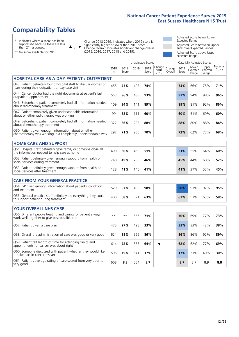# **Comparability Tables**

\* Indicates where a score has been suppressed because there are less than 21 responses.

\*\* No score available for 2018.

 $\triangle$  or  $\nabla$ 

Change 2018-2019: Indicates where 2019 score is significantly higher or lower than 2018 score Change Overall: Indicates significant change overall (2015, 2016, 2017, 2018 and 2019).

Adjusted Score below Lower Expected Range Adjusted Score between Upper and Lower Expected Ranges Adjusted Score above Upper Expected Range

|                                                                                                                       |              |               |            | Unadjusted Scores |                         |                   |               | Case Mix Adjusted Scores            |                |                   |
|-----------------------------------------------------------------------------------------------------------------------|--------------|---------------|------------|-------------------|-------------------------|-------------------|---------------|-------------------------------------|----------------|-------------------|
|                                                                                                                       | 2018<br>n.   | 2018<br>Score | 2019<br>n. | 2019<br>Score     | Change<br>2018-<br>2019 | Change<br>Overall | 2019<br>Score | Lower<br>Expected Expected<br>Range | Upper<br>Range | National<br>Score |
| <b>HOSPITAL CARE AS A DAY PATIENT / OUTPATIENT</b>                                                                    |              |               |            |                   |                         |                   |               |                                     |                |                   |
| Q43. Patient definitely found hospital staff to discuss worries or<br>fears during their outpatient or day case visit | 455          | 75%           | 403        | 74%               |                         |                   | 74%           | 66%                                 | 75%            | 71%               |
| Q44. Cancer doctor had the right documents at patient's last<br>outpatient appointment                                | 553          | 96%           | 488        | 93%               |                         |                   | 93%           | 94%                                 | 98%            | 96%               |
| Q46. Beforehand patient completely had all information needed<br>about radiotherapy treatment                         | 109          | 94%           | 141        | 89%               |                         |                   | 89%           | 81%                                 | 92%            | 86%               |
| Q47. Patient completely given understandable information<br>about whether radiotherapy was working                    | 99           | 68%           | 111        | 60%               |                         |                   | 60%           | 51%                                 | 69%            | 60%               |
| Q49. Beforehand patient completely had all information needed<br>about chemotherapy treatment                         | 322          | 86%           | 293        | 88%               |                         |                   | 88%           | 80%                                 | 88%            | 84%               |
| Q50. Patient given enough information about whether<br>chemotherapy was working in a completely understandable way    | 297          | 71%           | 265        | 70%               |                         |                   | 72%           | 62%                                 | 73%            | 68%               |
| <b>HOME CARE AND SUPPORT</b>                                                                                          |              |               |            |                   |                         |                   |               |                                     |                |                   |
| Q51. Hospital staff definitely gave family or someone close all<br>the information needed to help care at home        | 490          | 60%           | 450        | 51%               |                         |                   | 51%           | 55%                                 | 64%            | 60%               |
| Q52. Patient definitely given enough support from health or<br>social services during treatment                       | 248          | 49%           | 263        | 46%               |                         |                   | 45%           | 44%                                 | 60%            | 52%               |
| Q53. Patient definitely given enough support from health or<br>social services after treatment                        | 128          | 41%           | 146        | 41%               |                         |                   | 41%           | 37%                                 | 53%            | 45%               |
| <b>CARE FROM YOUR GENERAL PRACTICE</b>                                                                                |              |               |            |                   |                         |                   |               |                                     |                |                   |
| Q54. GP given enough information about patient's condition<br>and treatment                                           | 529          | 97%           | 495        | 98%               |                         |                   | 98%           | 93%                                 | 97%            | 95%               |
| Q55. General practice staff definitely did everything they could<br>to support patient during treatment               | 400          | 58%           | 391        | 63%               |                         |                   | 63%           | 53%                                 | 63%            | 58%               |
| <b>YOUR OVERALL NHS CARE</b>                                                                                          |              |               |            |                   |                         |                   |               |                                     |                |                   |
| Q56. Different people treating and caring for patient always<br>work well together to give best possible care         | $\star\star$ | **            | 556        | 71%               |                         |                   | 70%           | 69%                                 | 77%            | 73%               |
| Q57. Patient given a care plan                                                                                        | 475          | 27%           | 428        | 33%               |                         |                   | 33%           | 33%                                 | 42%            | 38%               |
| Q58. Overall the administration of care was good or very good                                                         | 624          | 88%           | 569        | 86%               |                         |                   | 86%           | 86%                                 | 92%            | 89%               |
| Q59. Patient felt length of time for attending clinics and<br>appointments for cancer was about right                 | 614          | 72%           | 565        | 64%               | ▼                       |                   | 62%           | 62%                                 | 77%            | 69%               |
| Q60. Someone discussed with patient whether they would like<br>to take part in cancer research                        | 596          | 19%           | 541        | 17%               |                         |                   | 17%           | 21%                                 | 40%            | 30%               |
| Q61. Patient's average rating of care scored from very poor to<br>very good                                           | 608          | 8.8           | 554        | 8.7               |                         |                   | 8.7           | 8.7                                 | 8.9            | 8.8               |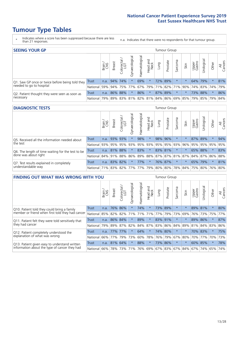- \* Indicates where a score has been suppressed because there are less than 21 responses.
- n.a. Indicates that there were no respondents for that tumour group.

| <b>SEEING YOUR GP</b>                           |                                                  |              |                 |                   |                    |                |                  |      | <b>Tumour Group</b> |         |         |                 |                                                 |        |                |
|-------------------------------------------------|--------------------------------------------------|--------------|-----------------|-------------------|--------------------|----------------|------------------|------|---------------------|---------|---------|-----------------|-------------------------------------------------|--------|----------------|
|                                                 |                                                  | Brain<br>CNS | <b>Breast</b>   | Colorectal<br>LGT | ᠊ᢛ<br>Gynaecologic | Haematological | Head and<br>Neck | Lung | Prostate            | Sarcoma | Skin    | Upper<br>Gastro | $\sigma$<br>Irologica                           | Other  | All<br>Cancers |
| Q1. Saw GP once or twice before being told they | Trust                                            |              | n.a. $94\%$ 74% |                   |                    | 69%            | $\ast$           |      | 72% 89%             | $\star$ |         |                 | 64% 79%                                         | $\ast$ | 81%            |
| needed to go to hospital                        | National 59% 94% 75% 77% 67% 79% 71% 82% 71% 90% |              |                 |                   |                    |                |                  |      |                     |         |         |                 | 74%   83%   74%                                 |        | 79%            |
| Q2. Patient thought they were seen as soon as   | Trust                                            | n.a.         |                 | 86% 88%           | $\star$            | 86%            | $\star$          |      | 87% 89%             | $\star$ | $\star$ |                 | 73% 88%                                         | $\ast$ | 86%            |
| necessary                                       | National I                                       | 79%          |                 |                   |                    |                |                  |      |                     |         |         |                 | 89% 83% 81% 82% 81% 84% 86% 69% 85% 79% 85% 79% |        | 84%            |

#### **DIAGNOSTIC TESTS** Tumour Group

|                                                   |                 | Brain | <b>Breast</b> | Colorectal<br>LGT           | ᠊ᢛ<br>Gynaecologic | Haematological | Head and<br>Neck | Lung        | Prostate | Sarcoma | Skin    | Upper<br>Gastro | rological                                   | Other   | All<br>Cancers |
|---------------------------------------------------|-----------------|-------|---------------|-----------------------------|--------------------|----------------|------------------|-------------|----------|---------|---------|-----------------|---------------------------------------------|---------|----------------|
| Q5. Received all the information needed about     | <b>Trust</b>    | n.a.  |               | 93% 93%                     |                    | 98%            | $\star$          |             | 98% 96%  |         |         |                 | 87% 89%                                     | $\star$ | 94%            |
| $\vert$ the test                                  | National        | 93%   |               | 95% 95%                     |                    | 93% 95%        |                  | 93% 95% 95% |          | 93%     | 96%     |                 | 95% 95%                                     | 95%     | 95%            |
| Q6. The length of time waiting for the test to be | Trust           | n.a.  | 81%           | 88%                         | $\star$            | 83%            | $\star$          |             | 83% 81%  |         |         |                 | 65% 88%                                     | $\star$ | 83%            |
| done was about right                              | <b>National</b> |       |               | 84% 91% 88%                 |                    |                |                  |             |          |         |         |                 | 86% 89% 88% 87% 87% 81% 87% 84% 87% 86% 88% |         |                |
| Q7. Test results explained in completely          | Trust           | n.a.  |               | 83% 82%                     | $\star$            | 77%            | $\ast$           |             | 76% 87%  | $\star$ | $\star$ |                 | 65% 79%                                     | $\star$ | 81%            |
| understandable way                                | National 71%    |       |               | 83% 82% 77% 77% 79% 80% 80% |                    |                |                  |             |          |         |         |                 | 78% 84% 75% 80% 76% 80%                     |         |                |

| <b>FINDING OUT WHAT WAS WRONG WITH YOU</b>        |              |        |               |                        |                |                |                        |                         | Tumour Group |         |         |                 |            |          |                |
|---------------------------------------------------|--------------|--------|---------------|------------------------|----------------|----------------|------------------------|-------------------------|--------------|---------|---------|-----------------|------------|----------|----------------|
|                                                   |              | Brain  | <b>Breast</b> | olorectal.<br>LGT<br>Û | Gynaecological | Haematological | ad and<br>Neck<br>Head | Lung                    | Prostate     | Sarcoma | Skin    | Upper<br>Gastro | Irological | Other    | All<br>Cancers |
| Q10. Patient told they could bring a family       | <b>Trust</b> | n.a.   | 76%           | 86%                    |                | 74%            | $^\star$               |                         | 73% 89%      | $\ast$  | 大       | 89%             | 81%        | $\ast$   | 80%            |
| member or friend when first told they had cancer  | National     | 85%    | 82%           | 82%                    | 71%            | 71%            | 71%                    | 77%                     | 79%          | 73%     | 69%     | 76%             | 73%        | 75%      | 77%            |
| Q11. Patient felt they were told sensitively that | Trust        | n.a.   | 86%           | 84%                    |                | 89%            | $\star$                | 83% 91%                 |              | $\ast$  | 大       | 89%             | 86%        | $\ast$   | 87%            |
| they had cancer                                   | National     | 79%    | 89% 87%       |                        | 82%            |                | 84% 87%                | 83% 86%                 |              | 84%     | 89%     | 81%             |            | 84% 83%  | 86%            |
| Q12. Patient completely understood the            | Trust        | n.a.   | $77\%$        | 77%                    |                | 64%            | $\star$                |                         | 74% 80%      | $\ast$  | $\star$ | 70%             | 83%        | $^\star$ | 75%            |
| explanation of what was wrong                     | National     |        | 66% 77%       | 79%                    | 73%            | 60%            | 78%                    | 76%                     | 79%          | 67%     | 80%     | 70%             | 77%        | 70%      | 73%            |
| Q13. Patient given easy to understand written     | Trust        | n.a.   | 81% 64%       |                        |                | 88%            | $\star$                |                         | 73% 86%      | $\ast$  | $\ast$  | 60%             | 85%        | $\ast$   | 78%            |
| information about the type of cancer they had     | National     | $66\%$ | 78%           | 73%                    | 71%            | 76%            |                        | 69% 67% 83% 67% 84% 67% |              |         |         |                 | 74%        | 65%      | 74%            |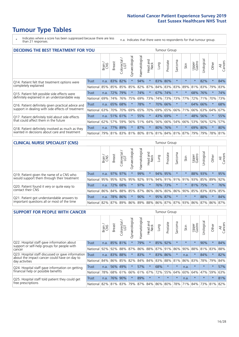\* Indicates where a score has been suppressed because there are less than 21 responses.

n.a. Indicates that there were no respondents for that tumour group.

| <b>DECIDING THE BEST TREATMENT FOR YOU</b>         |              |       |               |                        |                |                   |                        |      | <b>Tumour Group</b> |                                     |         |                 |            |         |                |
|----------------------------------------------------|--------------|-------|---------------|------------------------|----------------|-------------------|------------------------|------|---------------------|-------------------------------------|---------|-----------------|------------|---------|----------------|
|                                                    |              | Brain | <b>Breast</b> | olorectal.<br>LGT<br>Ũ | Gynaecological | ematological<br>Ě | ad and<br>Neck<br>Head | Lung | Prostate            | arcoma<br>ιñ                        | Skin    | Upper<br>Gastro | Jrological | Other   | All<br>Cancers |
| Q14. Patient felt that treatment options were      | <b>Trust</b> | n.a.  | 83%           | 82%                    | $\star$        | 94%               | $\star$                | 83%  | 80%                 | $\star$                             |         | $\star$         | 82%        | $\star$ | 84%            |
| completely explained                               | National     | 85%   | 85%           | 85%                    | 85%            | 82%               | 87%                    |      | 84% 83%             | 83%                                 | 89%     | 81%             | 83%        | 79%     | 83%            |
| Q15. Patient felt possible side effects were       | Trust        | n.a.  | 72%           | 79%                    |                | 74%               | $\star$                |      | 67% 74%             | $\star$                             |         | 68%             | 76%        | $\star$ | 74%            |
| definitely explained in an understandable way      | National     | 69%   | 74%           | 76%                    | 75%            | 69%               | 73%                    |      | 74% 73%             | 73%                                 | 77%     | 72%             | 71%        | 70%     | 73%            |
| Q16. Patient definitely given practical advice and | Trust        | n.a.  | 65%           | 68%                    |                | 78%               | $\ast$                 | 70%  | 66%                 | $\star$                             |         | 64%             | 66%        | $\star$ | 68%            |
| support in dealing with side effects of treatment  | National     | 63%   | 70%           | 70%                    | 69%            | 65%               | 70%                    | 69%  | 65%                 | 66%                                 | 71%     | 66%             | 63%        | 64%     | 67%            |
| Q17. Patient definitely told about side effects    | Trust        | n.a.  |               | 51% 61%                |                | 55%               | $\star$                | 43%  | 69%                 | $\star$                             | $\star$ | 48%             | 56%        | $\ast$  | 55%            |
| that could affect them in the future               | National     | 62%   | 57%           | 59%                    | 56%            | 51%               | 64%                    | 56%  | 66%                 | 54%                                 | 66%     | 53%             | 56%        | 52%     | 57%            |
| Q18. Patient definitely involved as much as they   | Trust        | n.a.  | 77%           | 89%                    | $\star$        | 87%               | $\star$                |      | 80% 76%             | $^\star$                            | $\ast$  | 69%             | 80%        | $\star$ | 80%            |
| wanted in decisions about care and treatment       | National     | 79%   |               |                        |                |                   |                        |      |                     | 81% 83% 81% 80% 81% 81% 84% 81% 87% |         | 79%             | 79%        | 78% 81% |                |

#### **CLINICAL NURSE SPECIALIST (CNS)** Tumour Group

|                                             |          | Brain | Breast  | olorectal<br>LGT<br>U | $\sigma$<br>aecologio<br>Ğ | Haematological  | Head and<br>Neck | <b>Dun</b> | Prostate | Sarcoma                           | Skin    | Upper<br>Gastro | σ<br>Irologica | Other   | All<br>Cancers |
|---------------------------------------------|----------|-------|---------|-----------------------|----------------------------|-----------------|------------------|------------|----------|-----------------------------------|---------|-----------------|----------------|---------|----------------|
| Q19. Patient given the name of a CNS who    | Trust    | n.a.  | 97% 97% |                       |                            | 99%             | $\ast$           |            | 94% 95%  | $^\star$                          |         |                 | 88% 93%        |         | 95%            |
| would support them through their treatment  | National | 95%   | 95%     | 92%                   | 95%                        |                 |                  |            |          | 92%   91%   94%   91%   91%   91% |         | 93%             | 85% 89%        |         | 92%            |
| Q20. Patient found it very or quite easy to | Trust    | n.a.  |         | 72% 68%               |                            | 97%             | $\star$          |            | 76% 73%  | $^\star$                          |         |                 | 81% 75%        | $\ast$  | 76%            |
| contact their CNS                           | National | 86%   | 84%     | 88%                   | 85%                        | 87% 86% 86% 80% |                  |            |          | 86%                               | 90%     | 85%             |                | 83% 83% | 85%            |
| Q21. Patient got understandable answers to  | Trust    | n.a.  | 78%     | 86%                   |                            | 90%             | $\star$          |            | 95% 87%  |                                   | $\star$ | $\star$         | 88%            | $\ast$  | 84%            |
| important questions all or most of the time | National | 82%   | 87%     | 89%                   | 86%                        |                 |                  |            |          | 89% 88% 86% 87% 87% 93%           |         | 86%             |                | 87% 86% | 87%            |

| <b>SUPPORT FOR PEOPLE WITH CANCER</b>                                                             |              |       |               |                        |                |                |                        |         | Tumour Group |              |         |                 |           |         |                |
|---------------------------------------------------------------------------------------------------|--------------|-------|---------------|------------------------|----------------|----------------|------------------------|---------|--------------|--------------|---------|-----------------|-----------|---------|----------------|
|                                                                                                   |              | Brain | <b>Breast</b> | olorectal.<br>LGT<br>Ũ | Gynaecological | Haematological | ad and<br>Neck<br>Head | Lung    | Prostate     | arcoma<br>ιñ | Skin    | Upper<br>Gastro | Jrologica | Other   | All<br>Cancers |
| Q22. Hospital staff gave information about<br>support or self-help groups for people with         | <b>Trust</b> | n.a.  | 85%           | 81%                    | $\star$        | 79%            | $\ast$                 | 85%     | 92%          | $\star$      | $\star$ | $\star$         | 90%       | $\ast$  | 84%            |
| cancer                                                                                            | National     | 92%   | 92%           | 88%                    | 87%            | 86%            | 88%                    |         | 87% 91%      | 86%          | 90%     | 88%             | 81%       | 83%     | 88%            |
| Q23. Hospital staff discussed or gave information<br>about the impact cancer could have on day to | Trust        | n.a.  | 83%           | 88%                    | $\star$        | 83%            | $\star$                | 83%     | 86%          | $\star$      | n.a.    | $\star$         | 84%       | $\star$ | 82%            |
| day activities                                                                                    | National     | 84%   | 86%           | 85%                    | 82%            | 84%            | 84%                    | 83%     | 88%          | 81%          | 86%     | 83%             | 78%       | 79%     | 84%            |
| Q24. Hospital staff gave information on getting                                                   | Trust        | n.a.  | 56%           | 49%                    | $\star$        | 57%            | $\star$                | 68%     | $\star$      | $\star$      | n.a.    | $\star$         | $\star$   | $\star$ | 57%            |
| financial help or possible benefits                                                               | National     | 78%   |               | 68% 61%                | 66%            | 61%            | 67%                    | 72%     | 55%          | 64%          | 60%     | 64%             | 47%       | 59%     | 63%            |
| Q25. Hospital staff told patient they could get                                                   | Trust        | n.a.  | 76%           | 90%                    | $\star$        | 89%            | $\star$                | $\star$ | $\star$      | $\star$      | n.a.    | $\star$         | $\star$   | $\ast$  | 81%            |
| free prescriptions                                                                                | National I   | 82%   | 81% 83%       |                        | 79%            |                | 87% 84% 86% 80%        |         |              | 78%          | 71%     | 84%             | 73%       | 81%     | 82%            |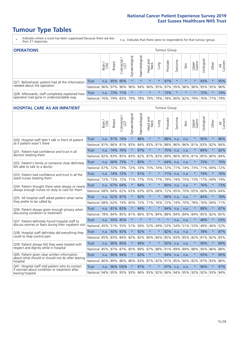- \* Indicates where a score has been suppressed because there are less than 21 responses.
- n.a. Indicates that there were no respondents for that tumour group.

| <b>OPERATIONS</b><br>Tumour Group                                                           |              |       |               |                   |                |                |                  |         |          |         |                                     |                 |            |         |                |
|---------------------------------------------------------------------------------------------|--------------|-------|---------------|-------------------|----------------|----------------|------------------|---------|----------|---------|-------------------------------------|-----------------|------------|---------|----------------|
|                                                                                             |              | Brain | <b>Breast</b> | Colorectal<br>LGT | Gynaecological | Haematological | Head and<br>Neck | Lung    | Prostate | Sarcoma | Skin                                | Upper<br>Gastro | Urological | Other   | All<br>Cancers |
| Q27. Beforehand, patient had all the information<br>needed about the operation              | <b>Trust</b> | n.a.  | 95% 95%       |                   | $\star$        | $\star$        | $\star$          | $\star$ | 97%      |         | $\star$                             | $\star$         | 93%        | $\star$ | 95%            |
|                                                                                             | National     | 96%   | 97%           | 96%               | 96%            |                |                  |         |          |         | 94% 96% 95% 97% 95% 96% 96% 95% 95% |                 |            |         | 96%            |
| Q28. Afterwards, staff completely explained how<br>operation had gone in understandable way | <b>Trust</b> | n.a.  | 73% 71%       |                   | $\star$        | $\star$        | $\star$          | $\star$ | 73%      | $\star$ | $\star$                             | $\star$         | 75%        | $\star$ | 74%            |
|                                                                                             | National     | 76%   |               | 79% 83%           |                | 79% 78% 79%    |                  |         | 79% 78%  |         | 80% 82% 79% 76% 77%                 |                 |            |         | 79%            |

#### **HOSPITAL CARE AS AN INPATIENT** Tumour Group

|                                                                                                   |              | Brain | Breast   | $\overline{\phantom{0}}$<br>Colorectal /<br>LGT | Gynaecological | Haematological              | Head and<br>Neck | Lung    | Prostate | Sarcoma | Skin | Upper<br>Gastro | Urological  | Other   | All<br>Cancers |
|---------------------------------------------------------------------------------------------------|--------------|-------|----------|-------------------------------------------------|----------------|-----------------------------|------------------|---------|----------|---------|------|-----------------|-------------|---------|----------------|
| Q30. Hospital staff didn't talk in front of patient                                               | <b>Trust</b> | n.a.  | 91%      | 74%                                             | $\star$        | 88%                         | $\star$          | $\star$ | 88%      | n.a.    | n.a. | $\star$         | 90%         | $\star$ | 86%            |
| as if patient wasn't there                                                                        | National     | 81%   | 86%      | 81%                                             | 83%            | 84%                         | 83%              | 81%     | 88%      | 86%     | 86%  | 81%             | 83%         | 82%     | 84%            |
| 031. Patient had confidence and trust in all<br>doctors treating them                             | Trust        | n.a.  | 74% 76%  |                                                 | $\star$        | 97%                         | $\star$          | $\star$ | 75%      | n.a.    | n.a. |                 | 84%         | $\star$ | 82%            |
|                                                                                                   | National     | 82%   | 83%      | 85%                                             | 83%            |                             | 82% 87% 83%      |         | 89%      | 86%     | 85%  | 81%             | 85%         | 80%     | 84%            |
| Q32. Patient's family or someone close definitely                                                 | <b>Trust</b> | n.a.  | 66%      | 73%                                             |                | 83%                         | $\star$          | $\star$ | 64%      | n.a.    | n.a. |                 | 73%         | $\star$ | 70%            |
| felt able to talk to a doctor                                                                     | National     | 67%   | 72%      | 73%                                             | 72%            | 74%                         | 75% 74%          |         | 72%      | 71%     | 74%  | 73%             | 71%         | 69%     | 72%            |
| Q33. Patient had confidence and trust in all the                                                  | <b>Trust</b> | n.a.  | 74%      | 72%                                             | $\star$        | 91%                         | $\star$          | $\star$ | 71%      | n.a.    | n.a. | $\star$         | 79%         | $\star$ | 76%            |
| ward nurses treating them                                                                         | National     | 72%   | 73%      | 72%                                             | 71%            |                             | 77% 75% 77%      |         | 79%      | 74%     | 75%  | 73%             | 77%         | 69%     | 74%            |
| Q34. Patient thought there were always or nearly<br>always enough nurses on duty to care for them | <b>Trust</b> | n.a.  | 67%      | 64%                                             | $\star$        | 84%                         | $\star$          | $\star$ | 80%      | n.a.    | n.a. | $\star$         | 76%         | $\star$ | 73%            |
|                                                                                                   | National     | 68%   | 64%      | 62%                                             | 63%            | 63%                         | 65% 68%          |         | 72%      | 65%     | 70%  | 65%             | 66%         | 60%     | 64%            |
| Q35. All hospital staff asked patient what name                                                   | <b>Trust</b> | n.a.  | 62% 81%  |                                                 | $\star$        | 82%                         | $\star$          | $\star$ | 89%      | n.a.    | n.a. | $\star$         | 84%         | $\star$ | 78%            |
| they prefer to be called by                                                                       | National     | 68%   | 62%      | 74%                                             | 65%            | 72%                         | 71% 76%          |         | 72%      | 74%     | 70%  | 78%             | 76%         | 69%     | 71%            |
| Q36. Patient always given enough privacy when                                                     | <b>Trust</b> | n.a.  | 81% 83%  |                                                 |                | 94%                         | $\star$          | $\star$ | 94%      | n.a.    | n.a. |                 | 88%         | $\star$ | 87%            |
| discussing condition or treatment                                                                 | National     | 78%   |          | 84% 85%                                         | 81%            |                             | 86% 87% 84%      |         | 88%      | 84%     | 84%  | 84%             | 85%         | 82%     | 85%            |
| Q37. Patient definitely found hospital staff to                                                   | <b>Trust</b> | n.a.  | 55%      | 45%                                             | $\star$        | $\star$                     | $\star$          | $\star$ | $\star$  | n.a.    | n.a. |                 | 48%         | $\star$ | 53%            |
| discuss worries or fears during their inpatient visit                                             | National     | 45%   | 51%      | 55%                                             | 51%            | 56%                         | 52%              | 49%     | 53%      | 54%     | 51%  | 53%             | 49%         | 46%     | 52%            |
| Q38. Hospital staff definitely did everything they                                                | <b>Trust</b> |       | n.a. 92% | 92%                                             | $\star$        | 92%                         | $\star$          | $\star$ | 82%      | n.a.    | n.a. | $\star$         | 78%         | $\star$ | 87%            |
| could to help control pain                                                                        | National     | 85%   | 83%      | 84%                                             | 82%            |                             | 82% 80% 84%      |         | 85%      | 83%     | 85%  | 82%             | 81%         | 82%     | 83%            |
| Q39. Patient always felt they were treated with                                                   | <b>Trust</b> | n.a.  | 90% 83%  |                                                 | $\star$        | 94%                         | $\star$          | $\star$ | 92%      | n.a.    | n.a. | $\star$         | 90%         | $\star$ | 89%            |
| respect and dignity while in hospital                                                             | National     | 85%   | 87%      | 87%                                             | 85%            | 89%                         | 87%              | 88%     | 91%      | 89%     | 89%  | 88%             | 90%         | 86%     | 88%            |
| Q40. Patient given clear written information<br>about what should or should not do after leaving  | Trust        | n.a.  | 90%      | 94%                                             |                | 82%                         | $\star$          | $\star$ | 94%      | n.a.    | n.a. |                 | 93%         | $\star$ | 90%            |
| hospital                                                                                          | National     | 80%   |          | 89% 86%                                         | 86%            | 83%                         | 87% 82%          |         | 91%      | 85%     | 90%  | 82%             | 87%         | 83%     | 86%            |
| Q41. Hospital staff told patient who to contact<br>if worried about condition or treatment after  | <b>Trust</b> | n.a.  |          | 96% 100%                                        | $\star$        | 97%                         | $\star$          | $\star$ | 97%      | n.a.    | n.a. | $\star$         | 96%         | $\star$ | 97%            |
| leaving hospital                                                                                  | National     |       |          |                                                 |                | 94% 95% 95% 93% 96% 93% 92% |                  |         |          | 96% 94% |      |                 | 95% 92% 92% | 93%     | 94%            |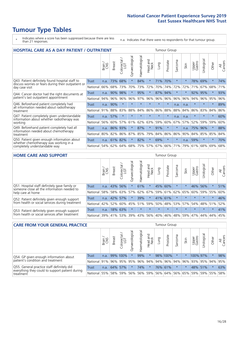- \* Indicates where a score has been suppressed because there are less than 21 responses.
- n.a. Indicates that there were no respondents for that tumour group.

| <b>HOSPITAL CARE AS A DAY PATIENT / OUTPATIENT</b>                                                                       |              |       |               |                                 |                |                |                         |         |          | <b>Tumour Group</b> |      |                 |            |         |                |  |  |  |  |
|--------------------------------------------------------------------------------------------------------------------------|--------------|-------|---------------|---------------------------------|----------------|----------------|-------------------------|---------|----------|---------------------|------|-----------------|------------|---------|----------------|--|--|--|--|
|                                                                                                                          |              | Brain | <b>Breast</b> | ╮<br>olorectal<br>LGT<br>$\cup$ | Gynaecological | Haematological | ead and<br>Neck<br>Head | Lung    | Prostate | Sarcoma             | Skin | Upper<br>Gastro | Urological | Other   | All<br>Cancers |  |  |  |  |
| Q43. Patient definitely found hospital staff to<br>discuss worries or fears during their outpatient or<br>day case visit | Trust        | n.a.  | 73%           | 68%                             | $\star$        | 84%            | $\star$                 | 71%     | 70%      | $\star$             |      | 78%             | 69%        | $\star$ | 74%            |  |  |  |  |
|                                                                                                                          | National     | 66%   | 68%           | 73%                             | 70%            | 73%            | 72%                     | 70%     | 74%      | 72%                 | 72%  | 71%             | 67%        | 68%     | 71%            |  |  |  |  |
| Q44. Cancer doctor had the right documents at<br>patient's last outpatient appointment                                   | Trust        | n.a.  | 90%           | 98%                             |                | 95%            | $\star$                 | 87%     | 94%      | $\ast$              |      | 92%             | 95%        | $\star$ | 93%            |  |  |  |  |
|                                                                                                                          | National     | 94%   | 96%           | 96%                             | 96%            | 97%            | 96%                     | 96%     | 96%      | 96%                 | 96%  | 94%             | 96%        | 95%     | 96%            |  |  |  |  |
| Q46. Beforehand patient completely had                                                                                   | Trust        | n.a.  | 90%           | $\star$                         | $\star$        | $\star$        | $\star$                 | $\star$ | $\star$  | n.a.                | n.a. | $\star$         | $\star$    | $\star$ | 89%            |  |  |  |  |
| all information needed about radiotherapy<br>treatment                                                                   | National     | 91%   | 88%           | 83%                             | 88%            | 84%            | 86%                     | 86%     | 88%      | 88%                 | 84%  | 86%             | 83%        | 84%     | 86%            |  |  |  |  |
| Q47. Patient completely given understandable                                                                             | Trust        | n.a.  | 57%           | $\star$                         |                |                | $\star$                 | $\star$ | $\star$  | n.a.                | n.a. | $\star$         | $\star$    | $\ast$  | 60%            |  |  |  |  |
| information about whether radiotherapy was<br>working                                                                    | National     | 56%   | 60%           | 57%                             | 61%            | 62%            | 63%                     | 59%     | 60%      | 67%                 | 57%  | 52%             | 59%        | 59%     | 60%            |  |  |  |  |
| Q49. Beforehand patient completely had all                                                                               | <b>Trust</b> | n.a.  | 86%           | 93%                             | $\star$        | 87%            | $\star$                 | 91%     | $\star$  | $\star$             | n.a. |                 | 75% 96%    | $\star$ | 88%            |  |  |  |  |
| information needed about chemotherapy<br>treatment                                                                       | National     | 80%   | 82%           | 86%                             | 87%            | 85%            | 79%                     | 84%     | 86%      | 86%                 | 90%  | 84%             | 85%        | 85%     | 84%            |  |  |  |  |
| Q50. Patient given enough information about<br>whether chemotherapy was working in a<br>completely understandable way    | Trust        | n.a.  | 61%           | 82%                             | $^\star$       | 82%            | $\star$                 | 69%     | $\star$  | $\star$             | n.a. | 59%             | $\star$    | $\star$ | 70%            |  |  |  |  |
|                                                                                                                          | National     | 54%   |               | 62% 64%                         | 68%            | 75%            |                         | 57% 67% | 66%      | 71%                 | 79%  | 61%             | 68%        | 69%     | 68%            |  |  |  |  |

#### **HOME CARE AND SUPPORT** Tumour Group

|                                                                                                                   |              | Brain | <b>Breast</b> | Colorectal<br>LGT | $\overline{\sigma}$<br>Gynaecologic | Haematological | Head and<br>Neck | <b>Lung</b>             | Prostate | Sarcoma | Skin        | Upper<br>Gastro | Urological  | Other   | All<br>Cancers |
|-------------------------------------------------------------------------------------------------------------------|--------------|-------|---------------|-------------------|-------------------------------------|----------------|------------------|-------------------------|----------|---------|-------------|-----------------|-------------|---------|----------------|
| Q51. Hospital staff definitely gave family or<br>someone close all the information needed to<br>help care at home | <b>Trust</b> | n.a.  | 43%           | 56%               | $\star$                             | 61%            | $\star$          | 45%                     | 60%      |         | $\star$     | 46%             | 56%         | $\star$ | 51%            |
|                                                                                                                   | National     | 58%   |               | 58% 63%           | 57%                                 |                |                  | 62% 67% 59% 61% 62% 65% |          |         |             | 60%             | 59%         | 55%     | 60%            |
| Q52. Patient definitely given enough support                                                                      | Trust        | n.a.  | 42% 57%       |                   | $\star$                             | 39%            | $\star$          | 41% 61%                 |          |         | $\star$     | $\star$         | $\star$     | $\star$ | 46%            |
| from health or social services during treatment                                                                   | National     | 42%   | 52%           | 60%               |                                     | 45% 51%        |                  | 59% 50%                 |          |         | 48% 53% 57% |                 | 54% 48% 51% |         | 52%            |
| Q53. Patient definitely given enough support<br>from health or social services after treatment                    | Trust        | n.a.  |               | 18% 63%           | $\star$                             | $\star$        | $\star$          | $\star$                 | $\star$  | $\star$ | $\star$     | $\star$         | $\star$     | $\star$ | 41%            |
|                                                                                                                   | National     | 39%   | 41% 53%       |                   | 39%                                 | $ 43\% $       | 56%              | 40%                     | 46%      |         | 48% 59%     | 47%             | 44%         | 44%     | 45%            |

| <b>CARE FROM YOUR GENERAL PRACTICE</b>                                                                     | Tumour Group |       |               |                        |               |                    |                  |      |                                     |         |      |                 |               |         |                |
|------------------------------------------------------------------------------------------------------------|--------------|-------|---------------|------------------------|---------------|--------------------|------------------|------|-------------------------------------|---------|------|-----------------|---------------|---------|----------------|
|                                                                                                            |              | Brain | <b>Breast</b> | ー<br>Colorectal<br>LGT | Gynaecologica | ᠊ᢛ<br>Haematologic | Head and<br>Neck | Lung | Prostate                            | Sarcoma | Skin | Upper<br>Gastro | Φ<br>Urologic | Other   | All<br>Cancers |
| Q54. GP given enough information about                                                                     | Trust        | n.a.  |               | 99% 100%               |               | 99%                | $\star$          |      | 98% 100%                            |         |      | 100% 97%        |               | $\ast$  | 98%            |
| patient's condition and treatment                                                                          | National 91% |       |               | 96% 95%                | 95%           |                    |                  |      | 96% 94% 94% 96% 94% 96%             |         |      | 93% 95% 94%     |               |         | 95%            |
| Q55. General practice staff definitely did<br>everything they could to support patient during<br>treatment | Trust        | n.a.  |               | 64% 57%                |               | 74%                | $\star$          |      | 76% 61%                             |         |      |                 | 48% 51%       | $\star$ | 63%            |
|                                                                                                            | National 55% |       |               | 58% 59%                | 56%           |                    |                  |      | 56% 59% 56% 64% 56% 65% 59% 59% 55% |         |      |                 |               |         | 58%            |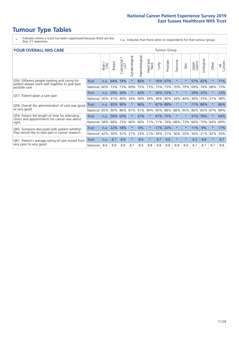- \* Indicates where a score has been suppressed because there are less than 21 responses.
- n.a. Indicates that there were no respondents for that tumour group.

#### **YOUR OVERALL NHS CARE** THE TWO CONTROLLER THE THE THROUP CHANGE THE TUMOUR GROUP

|                                                                                                                  |              | Brain | <b>Breast</b> | Colorectal<br>LGT | Gynaecological | Haematological | aad and<br>Neck<br>Head | Lung    | Prostate | arcoma<br>$\sqrt{ }$ | Skin     | Upper<br>Gastro | $\overline{c}$<br>Urologic | Other    | All<br>Cancers |
|------------------------------------------------------------------------------------------------------------------|--------------|-------|---------------|-------------------|----------------|----------------|-------------------------|---------|----------|----------------------|----------|-----------------|----------------------------|----------|----------------|
| Q56. Different people treating and caring for<br>patient always work well together to give best<br>possible care | Trust        | n.a.  | 64%           | 74%               | $\star$        | 86%            | $^\star$                | 76%     | 67%      | $\star$              | $\star$  | 57%             | 82%                        | $^\star$ | 71%            |
|                                                                                                                  | National     | 60%   |               | 73% 73%           | 69%            | 75%            | 73%                     |         | 73% 75%  | 70%                  | 79%      | 69%             | 74%                        | 68%      | 73%            |
| Q57. Patient given a care plan                                                                                   | <b>Trust</b> | n.a.  | 29%           | 26%               |                | 42%            | $\star$                 | 36% 53% |          | $\star$              | $\ast$   | 29% 33%         |                            | $\ast$   | 33%            |
|                                                                                                                  | National     | 36%   | 41%           | 40%               | 34%            | 36%            | 39%                     | $36\%$  | 40%      | 34%                  | 44%      | 36%             | 33%                        | 31%      | 38%            |
| Q58. Overall the administration of care was good                                                                 | Trust        | n.a.  | 85%           | 90%               |                | 96%            | $\star$                 | 87%     | 89%      |                      | $\star$  | 71% 86%         |                            |          | 86%            |
| or very good                                                                                                     | National     | 85%   |               | 90% 88%           | 87%            | 91%            | 90%                     |         | 90% 88%  | 88%                  | 90%      | 86%             | 85%                        | 87%      | 89%            |
| Q59. Patient felt length of time for attending<br>clinics and appointments for cancer was about                  | <b>Trust</b> | n.a.  | 59%           | 63%               |                | 51%            | $\star$                 | 67% 75% |          | $\star$              | $\star$  | 37%             | 78%                        | $\ast$   | 64%            |
| right                                                                                                            | National     | 58%   | 68%           | 73%               | 66%            | 66%            | 71%                     | 71%     | 76%      | 68%                  | 73%      | 66%             | 75%                        | 64%      | 69%            |
| Q60. Someone discussed with patient whether                                                                      | Trust        | n.a.  | 22%           | 18%               |                | 6%             | $\star$                 | 17%     | 20%      | $\star$              | $^\star$ | 11%             | 9%                         | $\star$  | 17%            |
| they would like to take part in cancer research                                                                  | National     | 42%   | 30%           | 32%               | 31%            | 33%            | 21%                     | 34%     | 31%      | 36%                  | 20%      | 36%             | 21%                        | 32%      | 30%            |
| Q61. Patient's average rating of care scored from                                                                | Trust        | n.a.  | 8.7           | 8.9               | $\star$        | 8.9            | $\star$                 | 8.7     | 8.6      | $\star$              | $\ast$   | 8.3             | 8.8                        | $\ast$   | 8.7            |
| very poor to very good                                                                                           | National     | 8.6   | 8.9           | 8.8               | 8.7            | 8.9            | 8.8                     | 8.8     | 8.8      | 8.8                  | 8.9      | 8.7             | 8.7                        | 8.7      | 8.8            |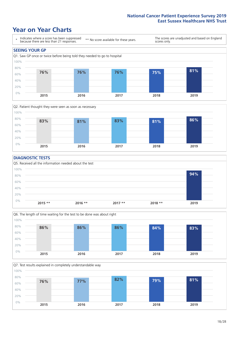### **Year on Year Charts**





### **DIAGNOSTIC TESTS**





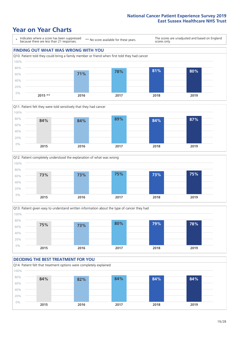### **Year on Year Charts**









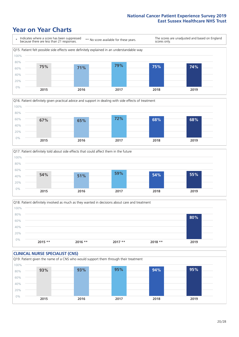### **Year on Year Charts**







Q18. Patient definitely involved as much as they wanted in decisions about care and treatment  $0%$ 20% 40% 60% 80% 100% **2015 \*\* 2016 \*\* 2017 \*\* 2018 \*\* 2019 80%**

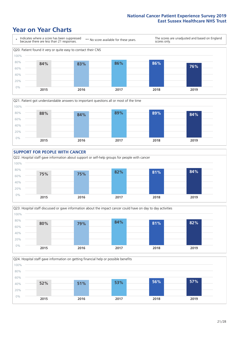### **Year on Year Charts**











 $21 / 28$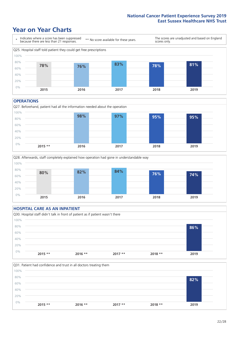### **Year on Year Charts**



#### **OPERATIONS**





### **HOSPITAL CARE AS AN INPATIENT** Q30. Hospital staff didn't talk in front of patient as if patient wasn't there 0% 20% 40% 60% 80% 100% **2015 \*\* 2016 \*\* 2017 \*\* 2018 \*\* 2019 86%**

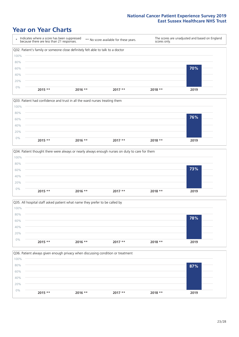### **Year on Year Charts**









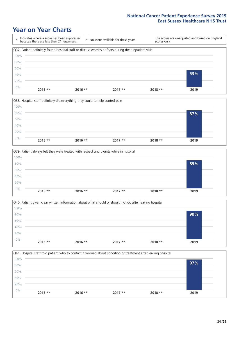### **Year on Year Charts**









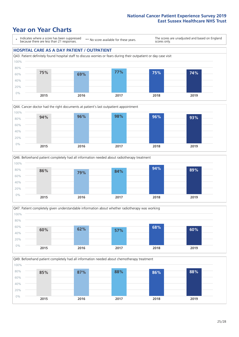### **Year on Year Charts**

\* Indicates where a score has been suppressed because there are less than 21 responses.

\*\* No score available for these years.

The scores are unadjusted and based on England scores only.

#### **HOSPITAL CARE AS A DAY PATIENT / OUTPATIENT**









Q49. Beforehand patient completely had all information needed about chemotherapy treatment 0% 20% 40% 60% 80% 100% **2015 2016 2017 2018 2019 85% 87% 88% 86% 88%**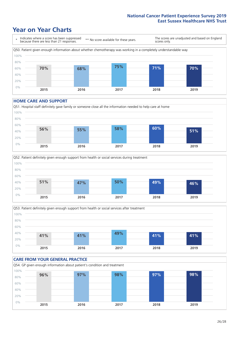### **Year on Year Charts**



#### **HOME CARE AND SUPPORT**







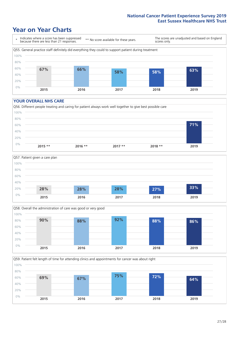### **Year on Year Charts**

\* Indicates where a score has been suppressed because there are less than 21 responses. \*\* No score available for these years. The scores are unadjusted and based on England scores only. Q55. General practice staff definitely did everything they could to support patient during treatment 0% 20% 40% 60% 80% 100% **2015 2016 2017 2018 2019 67% 66% 58% 58% 63%**

#### **YOUR OVERALL NHS CARE**







Q59. Patient felt length of time for attending clinics and appointments for cancer was about right 0% 20% 40% 60% 80% 100% **2015 2016 2017 2018 2019 69% 67% 75% 72% 64%**